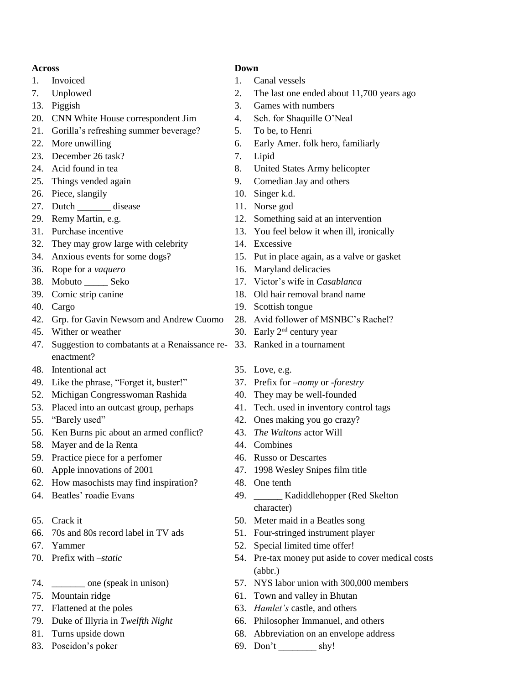## **Across Down**

- 
- 
- 
- 20. CNN White House correspondent Jim 4. Sch. for Shaquille O'Neal
- 21. Gorilla's refreshing summer beverage? 5. To be, to Henri
- 
- 23. December 26 task? 7. Lipid
- 
- 
- 26. Piece, slangily 10. Singer k.d.
- 27. Dutch \_\_\_\_\_\_\_\_ disease 11. Norse god
- 
- 
- 32. They may grow large with celebrity 14. Excessive
- 
- 
- 
- 
- 
- 42. Grp. for Gavin Newsom and Andrew Cuomo 28. Avid follower of MSNBC's Rachel?
- 
- 47. Suggestion to combatants at a Renaissance re-33. Ranked in a tournament enactment?
- 48. Intentional act 35. Love, e.g.
- 49. Like the phrase, "Forget it, buster!" 37. Prefix for *–nomy* or *-forestry*
- 52. Michigan Congresswoman Rashida 40. They may be well-founded
- 53. Placed into an outcast group, perhaps 41. Tech. used in inventory control tags
- 
- 56. Ken Burns pic about an armed conflict? 43. *The Waltons* actor Will
- 58. Mayer and de la Renta 44. Combines
- 59. Practice piece for a perfomer 46. Russo or Descartes
- 
- 62. How masochists may find inspiration? 48. One tenth
- 
- 
- 66. 70s and 80s record label in TV ads 51. Four-stringed instrument player
- 
- 
- 
- 
- 
- 
- 
- 

- 1. Invoiced 1. Canal vessels
- 7. Unplowed 2. The last one ended about 11,700 years ago
- 13. Piggish 3. Games with numbers
	-
	-
- 22. More unwilling the same control of the extended of the Early Amer. folk hero, familiarly
	-
- 24. Acid found in tea 8. United States Army helicopter
- 25. Things vended again 9. Comedian Jay and others
	-
	-
- 29. Remy Martin, e.g. 12. Something said at an intervention
- 31. Purchase incentive 13. You feel below it when ill, ironically
	-
- 34. Anxious events for some dogs? 15. Put in place again, as a valve or gasket
- 36. Rope for a *vaquero* 16. Maryland delicacies
- 38. Mobuto \_\_\_\_\_ Seko 17. Victor's wife in *Casablanca*
- 39. Comic strip canine 18. Old hair removal brand name
- 40. Cargo 19. Scottish tongue
	-
- 45. Wither or weather  $30.$  Early  $2<sup>nd</sup>$  century year
	-
	-
	-
	-
	-
- 55. "Barely used" 42. Ones making you go crazy?
	-
	-
	-
- 60. Apple innovations of 2001 47. 1998 Wesley Snipes film title
	-
- 64. Beatles' roadie Evans 49. \_\_\_\_\_\_ Kadiddlehopper (Red Skelton character)
- 65. Crack it 50. Meter maid in a Beatles song
	-
- 67. Yammer 52. Special limited time offer!
- 70. Prefix with *–static* 54. Pre-tax money put aside to cover medical costs (abbr.)
- 74. \_\_\_\_\_\_\_ one (speak in unison) 57. NYS labor union with 300,000 members
- 75. Mountain ridge 61. Town and valley in Bhutan
- 77. Flattened at the poles 63. *Hamlet's* castle, and others
- 79. Duke of Illyria in *Twelfth Night* 66. Philosopher Immanuel, and others
- 81. Turns upside down 68. Abbreviation on an envelope address
- 83. Poseidon's poker 69. Don't shy!